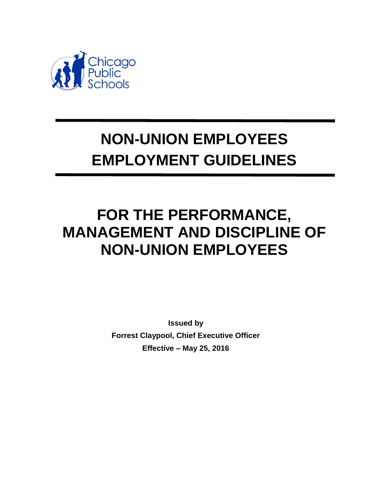

# **NON-UNION EMPLOYEES EMPLOYMENT GUIDELINES**

## **FOR THE PERFORMANCE, MANAGEMENT AND DISCIPLINE OF NON-UNION EMPLOYEES**

**Issued by Forrest Claypool, Chief Executive Officer Effective – May 25, 2016**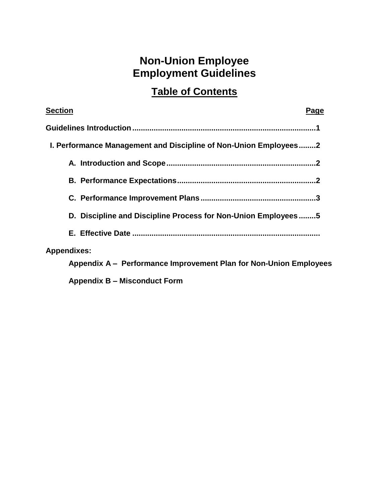### **Non-Union Employee Employment Guidelines**

### **Table of Contents**

| <b>Section</b>                                                    | Page |
|-------------------------------------------------------------------|------|
|                                                                   |      |
| 1. Performance Management and Discipline of Non-Union Employees2  |      |
|                                                                   |      |
|                                                                   |      |
|                                                                   |      |
| D. Discipline and Discipline Process for Non-Union Employees5     |      |
|                                                                   |      |
| <b>Appendixes:</b>                                                |      |
| Appendix A - Performance Improvement Plan for Non-Union Employees |      |
| <b>Appendix B – Misconduct Form</b>                               |      |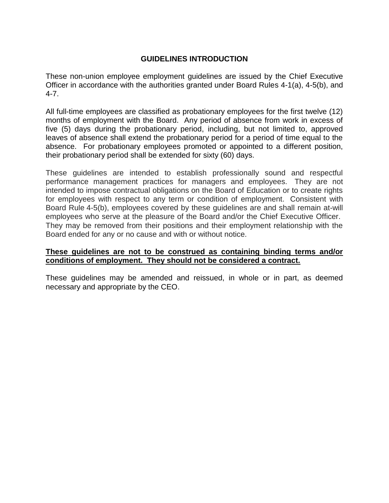#### **GUIDELINES INTRODUCTION**

These non-union employee employment guidelines are issued by the Chief Executive Officer in accordance with the authorities granted under Board Rules 4-1(a), 4-5(b), and 4-7.

All full-time employees are classified as probationary employees for the first twelve (12) months of employment with the Board. Any period of absence from work in excess of five (5) days during the probationary period, including, but not limited to, approved leaves of absence shall extend the probationary period for a period of time equal to the absence. For probationary employees promoted or appointed to a different position, their probationary period shall be extended for sixty (60) days.

These guidelines are intended to establish professionally sound and respectful performance management practices for managers and employees. They are not intended to impose contractual obligations on the Board of Education or to create rights for employees with respect to any term or condition of employment. Consistent with Board Rule 4-5(b), employees covered by these guidelines are and shall remain at-will employees who serve at the pleasure of the Board and/or the Chief Executive Officer. They may be removed from their positions and their employment relationship with the Board ended for any or no cause and with or without notice.

#### **These guidelines are not to be construed as containing binding terms and/or conditions of employment. They should not be considered a contract.**

These guidelines may be amended and reissued, in whole or in part, as deemed necessary and appropriate by the CEO.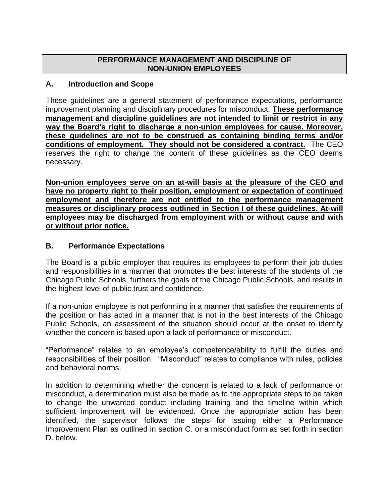#### **PERFORMANCE MANAGEMENT AND DISCIPLINE OF NON-UNION EMPLOYEES**

#### **A. Introduction and Scope**

These guidelines are a general statement of performance expectations, performance improvement planning and disciplinary procedures for misconduct. **These performance management and discipline guidelines are not intended to limit or restrict in any way the Board's right to discharge a non-union employees for cause. Moreover, these guidelines are not to be construed as containing binding terms and/or conditions of employment. They should not be considered a contract.** The CEO reserves the right to change the content of these guidelines as the CEO deems necessary.

**Non-union employees serve on an at-will basis at the pleasure of the CEO and have no property right to their position, employment or expectation of continued employment and therefore are not entitled to the performance management measures or disciplinary process outlined in Section I of these guidelines. At-will employees may be discharged from employment with or without cause and with or without prior notice.**

#### **B. Performance Expectations**

The Board is a public employer that requires its employees to perform their job duties and responsibilities in a manner that promotes the best interests of the students of the Chicago Public Schools, furthers the goals of the Chicago Public Schools, and results in the highest level of public trust and confidence.

If a non-union employee is not performing in a manner that satisfies the requirements of the position or has acted in a manner that is not in the best interests of the Chicago Public Schools, an assessment of the situation should occur at the onset to identify whether the concern is based upon a lack of performance or misconduct.

"Performance" relates to an employee's competence/ability to fulfill the duties and responsibilities of their position. "Misconduct" relates to compliance with rules, policies and behavioral norms.

In addition to determining whether the concern is related to a lack of performance or misconduct, a determination must also be made as to the appropriate steps to be taken to change the unwanted conduct including training and the timeline within which sufficient improvement will be evidenced. Once the appropriate action has been identified, the supervisor follows the steps for issuing either a Performance Improvement Plan as outlined in section C. or a misconduct form as set forth in section D. below.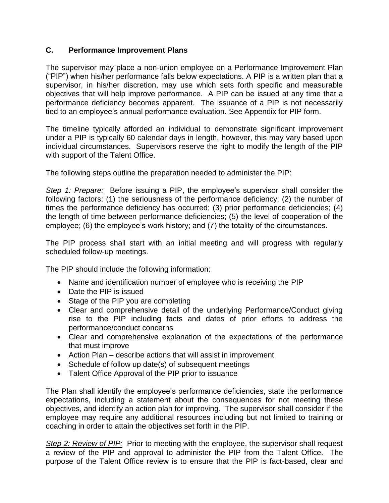#### **C. Performance Improvement Plans**

The supervisor may place a non-union employee on a Performance Improvement Plan ("PIP") when his/her performance falls below expectations. A PIP is a written plan that a supervisor, in his/her discretion, may use which sets forth specific and measurable objectives that will help improve performance. A PIP can be issued at any time that a performance deficiency becomes apparent. The issuance of a PIP is not necessarily tied to an employee's annual performance evaluation. See Appendix for PIP form.

The timeline typically afforded an individual to demonstrate significant improvement under a PIP is typically 60 calendar days in length, however, this may vary based upon individual circumstances. Supervisors reserve the right to modify the length of the PIP with support of the Talent Office.

The following steps outline the preparation needed to administer the PIP:

*Step 1: Prepare:* Before issuing a PIP, the employee's supervisor shall consider the following factors: (1) the seriousness of the performance deficiency; (2) the number of times the performance deficiency has occurred; (3) prior performance deficiencies; (4) the length of time between performance deficiencies; (5) the level of cooperation of the employee; (6) the employee's work history; and (7) the totality of the circumstances.

The PIP process shall start with an initial meeting and will progress with regularly scheduled follow-up meetings.

The PIP should include the following information:

- Name and identification number of employee who is receiving the PIP
- Date the PIP is issued
- Stage of the PIP you are completing
- Clear and comprehensive detail of the underlying Performance/Conduct giving rise to the PIP including facts and dates of prior efforts to address the performance/conduct concerns
- Clear and comprehensive explanation of the expectations of the performance that must improve
- Action Plan describe actions that will assist in improvement
- Schedule of follow up date(s) of subsequent meetings
- Talent Office Approval of the PIP prior to issuance

The Plan shall identify the employee's performance deficiencies, state the performance expectations, including a statement about the consequences for not meeting these objectives, and identify an action plan for improving. The supervisor shall consider if the employee may require any additional resources including but not limited to training or coaching in order to attain the objectives set forth in the PIP.

*Step 2: Review of PIP:* Prior to meeting with the employee, the supervisor shall request a review of the PIP and approval to administer the PIP from the Talent Office. The purpose of the Talent Office review is to ensure that the PIP is fact-based, clear and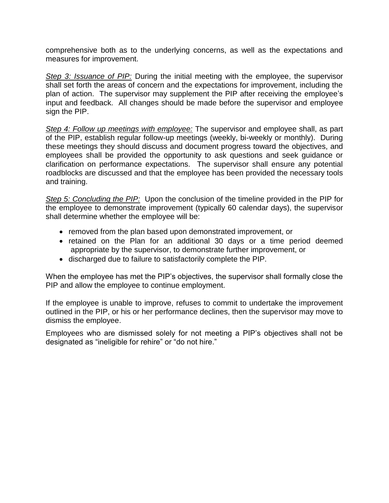comprehensive both as to the underlying concerns, as well as the expectations and measures for improvement.

*Step 3: Issuance of PIP:* During the initial meeting with the employee, the supervisor shall set forth the areas of concern and the expectations for improvement, including the plan of action. The supervisor may supplement the PIP after receiving the employee's input and feedback. All changes should be made before the supervisor and employee sign the PIP.

*Step 4: Follow up meetings with employee:* The supervisor and employee shall, as part of the PIP, establish regular follow-up meetings (weekly, bi-weekly or monthly). During these meetings they should discuss and document progress toward the objectives, and employees shall be provided the opportunity to ask questions and seek guidance or clarification on performance expectations. The supervisor shall ensure any potential roadblocks are discussed and that the employee has been provided the necessary tools and training.

*Step 5: Concluding the PIP:* Upon the conclusion of the timeline provided in the PIP for the employee to demonstrate improvement (typically 60 calendar days), the supervisor shall determine whether the employee will be:

- removed from the plan based upon demonstrated improvement, or
- retained on the Plan for an additional 30 days or a time period deemed appropriate by the supervisor, to demonstrate further improvement, or
- discharged due to failure to satisfactorily complete the PIP.

When the employee has met the PIP's objectives, the supervisor shall formally close the PIP and allow the employee to continue employment.

If the employee is unable to improve, refuses to commit to undertake the improvement outlined in the PIP, or his or her performance declines, then the supervisor may move to dismiss the employee.

Employees who are dismissed solely for not meeting a PIP's objectives shall not be designated as "ineligible for rehire" or "do not hire."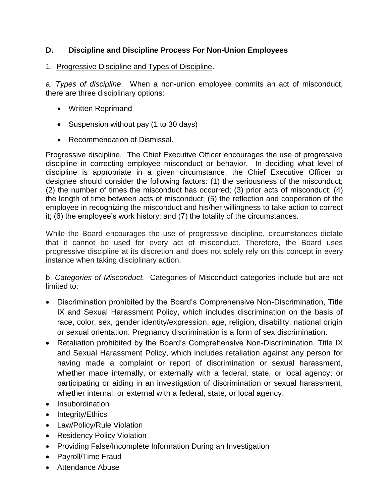#### **D. Discipline and Discipline Process For Non-Union Employees**

#### 1. Progressive Discipline and Types of Discipline.

a. *Types of discipline*. When a non-union employee commits an act of misconduct, there are three disciplinary options:

- Written Reprimand
- Suspension without pay (1 to 30 days)
- Recommendation of Dismissal.

Progressive discipline. The Chief Executive Officer encourages the use of progressive discipline in correcting employee misconduct or behavior. In deciding what level of discipline is appropriate in a given circumstance, the Chief Executive Officer or designee should consider the following factors: (1) the seriousness of the misconduct; (2) the number of times the misconduct has occurred; (3) prior acts of misconduct; (4) the length of time between acts of misconduct; (5) the reflection and cooperation of the employee in recognizing the misconduct and his/her willingness to take action to correct it; (6) the employee's work history; and (7) the totality of the circumstances.

While the Board encourages the use of progressive discipline, circumstances dictate that it cannot be used for every act of misconduct. Therefore, the Board uses progressive discipline at its discretion and does not solely rely on this concept in every instance when taking disciplinary action.

b. *Categories of Misconduct.* Categories of Misconduct categories include but are not limited to:

- Discrimination prohibited by the Board's Comprehensive Non-Discrimination, Title IX and Sexual Harassment Policy, which includes discrimination on the basis of race, color, sex, gender identity/expression, age, religion, disability, national origin or sexual orientation. Pregnancy discrimination is a form of sex discrimination.
- Retaliation prohibited by the Board's Comprehensive Non-Discrimination, Title IX and Sexual Harassment Policy, which includes retaliation against any person for having made a complaint or report of discrimination or sexual harassment, whether made internally, or externally with a federal, state, or local agency; or participating or aiding in an investigation of discrimination or sexual harassment, whether internal, or external with a federal, state, or local agency.
- Insubordination
- $\bullet$  Integrity/Ethics
- Law/Policy/Rule Violation
- Residency Policy Violation
- Providing False/Incomplete Information During an Investigation
- Payroll/Time Fraud
- Attendance Abuse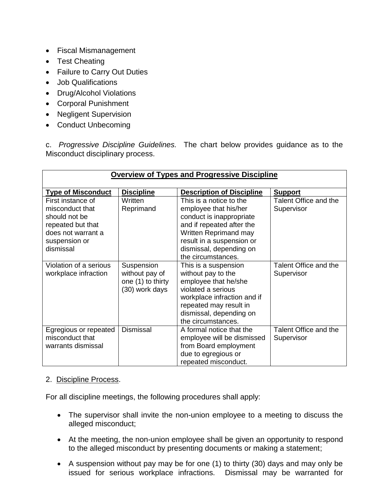- Fiscal Mismanagement
- Test Cheating
- Failure to Carry Out Duties
- Job Qualifications
- Drug/Alcohol Violations
- Corporal Punishment
- Negligent Supervision
- Conduct Unbecoming

c. *Progressive Discipline Guidelines.* The chart below provides guidance as to the Misconduct disciplinary process.

| <b>Overview of Types and Progressive Discipline</b>                                                                            |                                                                     |                                                                                                                                                                                                                  |                                     |  |  |
|--------------------------------------------------------------------------------------------------------------------------------|---------------------------------------------------------------------|------------------------------------------------------------------------------------------------------------------------------------------------------------------------------------------------------------------|-------------------------------------|--|--|
|                                                                                                                                |                                                                     |                                                                                                                                                                                                                  |                                     |  |  |
| <b>Type of Misconduct</b>                                                                                                      | <b>Discipline</b>                                                   | <b>Description of Discipline</b>                                                                                                                                                                                 | <b>Support</b>                      |  |  |
| First instance of<br>misconduct that<br>should not be<br>repeated but that<br>does not warrant a<br>suspension or<br>dismissal | Written<br>Reprimand                                                | This is a notice to the<br>employee that his/her<br>conduct is inappropriate<br>and if repeated after the<br>Written Reprimand may<br>result in a suspension or<br>dismissal, depending on<br>the circumstances. | Talent Office and the<br>Supervisor |  |  |
| Violation of a serious<br>workplace infraction                                                                                 | Suspension<br>without pay of<br>one (1) to thirty<br>(30) work days | This is a suspension<br>without pay to the<br>employee that he/she<br>violated a serious<br>workplace infraction and if<br>repeated may result in<br>dismissal, depending on<br>the circumstances.               | Talent Office and the<br>Supervisor |  |  |
| Egregious or repeated<br>misconduct that<br>warrants dismissal                                                                 | <b>Dismissal</b>                                                    | A formal notice that the<br>employee will be dismissed<br>from Board employment<br>due to egregious or<br>repeated misconduct.                                                                                   | Talent Office and the<br>Supervisor |  |  |

#### 2. Discipline Process.

For all discipline meetings, the following procedures shall apply:

- The supervisor shall invite the non-union employee to a meeting to discuss the alleged misconduct;
- At the meeting, the non-union employee shall be given an opportunity to respond to the alleged misconduct by presenting documents or making a statement;
- A suspension without pay may be for one (1) to thirty (30) days and may only be issued for serious workplace infractions. Dismissal may be warranted for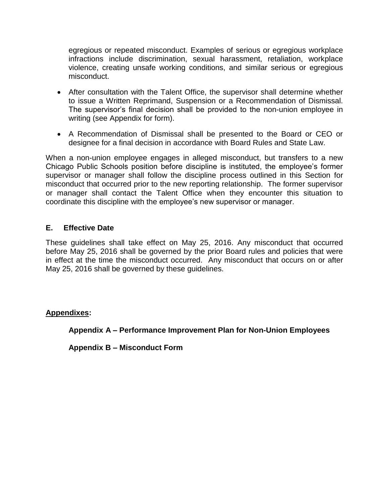egregious or repeated misconduct. Examples of serious or egregious workplace infractions include discrimination, sexual harassment, retaliation, workplace violence, creating unsafe working conditions, and similar serious or egregious misconduct.

- After consultation with the Talent Office, the supervisor shall determine whether to issue a Written Reprimand, Suspension or a Recommendation of Dismissal. The supervisor's final decision shall be provided to the non-union employee in writing (see Appendix for form).
- A Recommendation of Dismissal shall be presented to the Board or CEO or designee for a final decision in accordance with Board Rules and State Law.

When a non-union employee engages in alleged misconduct, but transfers to a new Chicago Public Schools position before discipline is instituted, the employee's former supervisor or manager shall follow the discipline process outlined in this Section for misconduct that occurred prior to the new reporting relationship. The former supervisor or manager shall contact the Talent Office when they encounter this situation to coordinate this discipline with the employee's new supervisor or manager.

#### **E. Effective Date**

These guidelines shall take effect on May 25, 2016. Any misconduct that occurred before May 25, 2016 shall be governed by the prior Board rules and policies that were in effect at the time the misconduct occurred. Any misconduct that occurs on or after May 25, 2016 shall be governed by these guidelines.

#### **Appendixes:**

**Appendix A – Performance Improvement Plan for Non-Union Employees**

**Appendix B – Misconduct Form**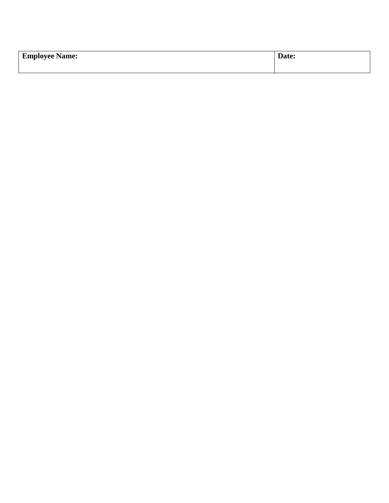| <b>Employee Name:</b> | $\overline{\phantom{a}}$<br>Date: |
|-----------------------|-----------------------------------|
|                       |                                   |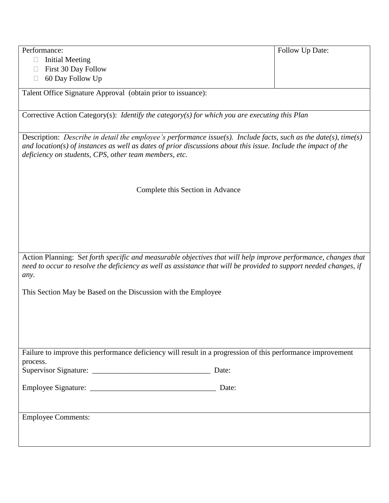| Performance:                                                                                                                                                                                                                                                                                    | Follow Up Date: |
|-------------------------------------------------------------------------------------------------------------------------------------------------------------------------------------------------------------------------------------------------------------------------------------------------|-----------------|
| <b>Initial Meeting</b>                                                                                                                                                                                                                                                                          |                 |
| First 30 Day Follow<br>$\Box$                                                                                                                                                                                                                                                                   |                 |
| 60 Day Follow Up                                                                                                                                                                                                                                                                                |                 |
| Talent Office Signature Approval (obtain prior to issuance):                                                                                                                                                                                                                                    |                 |
|                                                                                                                                                                                                                                                                                                 |                 |
| Corrective Action Category(s): Identify the category(s) for which you are executing this Plan                                                                                                                                                                                                   |                 |
| Description: Describe in detail the employee's performance issue(s). Include facts, such as the date(s), time(s)<br>and location( $s$ ) of instances as well as dates of prior discussions about this issue. Include the impact of the<br>deficiency on students, CPS, other team members, etc. |                 |
| Complete this Section in Advance                                                                                                                                                                                                                                                                |                 |
|                                                                                                                                                                                                                                                                                                 |                 |
|                                                                                                                                                                                                                                                                                                 |                 |
|                                                                                                                                                                                                                                                                                                 |                 |
|                                                                                                                                                                                                                                                                                                 |                 |
|                                                                                                                                                                                                                                                                                                 |                 |
| Action Planning: Set forth specific and measurable objectives that will help improve performance, changes that<br>need to occur to resolve the deficiency as well as assistance that will be provided to support needed changes, if<br>any.                                                     |                 |
| This Section May be Based on the Discussion with the Employee                                                                                                                                                                                                                                   |                 |
|                                                                                                                                                                                                                                                                                                 |                 |
|                                                                                                                                                                                                                                                                                                 |                 |
|                                                                                                                                                                                                                                                                                                 |                 |
|                                                                                                                                                                                                                                                                                                 |                 |
|                                                                                                                                                                                                                                                                                                 |                 |
| Failure to improve this performance deficiency will result in a progression of this performance improvement                                                                                                                                                                                     |                 |
| process.                                                                                                                                                                                                                                                                                        |                 |
|                                                                                                                                                                                                                                                                                                 |                 |
|                                                                                                                                                                                                                                                                                                 |                 |
|                                                                                                                                                                                                                                                                                                 |                 |
|                                                                                                                                                                                                                                                                                                 |                 |
| <b>Employee Comments:</b>                                                                                                                                                                                                                                                                       |                 |
|                                                                                                                                                                                                                                                                                                 |                 |
|                                                                                                                                                                                                                                                                                                 |                 |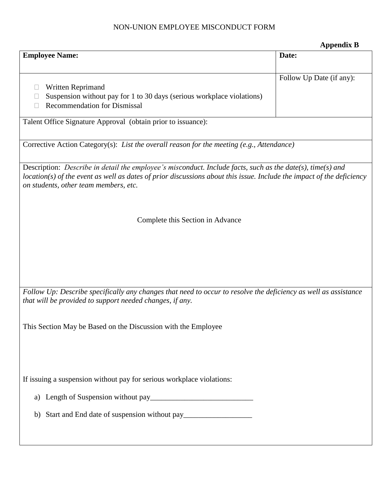#### NON-UNION EMPLOYEE MISCONDUCT FORM

|                                                                                                                                                                                                                                                                                | <b>Appendix B</b>        |
|--------------------------------------------------------------------------------------------------------------------------------------------------------------------------------------------------------------------------------------------------------------------------------|--------------------------|
| <b>Employee Name:</b>                                                                                                                                                                                                                                                          | Date:                    |
| Written Reprimand<br>Suspension without pay for 1 to 30 days (serious workplace violations)<br>⊔<br><b>Recommendation for Dismissal</b><br>П                                                                                                                                   | Follow Up Date (if any): |
| Talent Office Signature Approval (obtain prior to issuance):                                                                                                                                                                                                                   |                          |
| Corrective Action Category(s): List the overall reason for the meeting (e.g., Attendance)                                                                                                                                                                                      |                          |
| Description: Describe in detail the employee's misconduct. Include facts, such as the date(s), time(s) and<br>$location(s)$ of the event as well as dates of prior discussions about this issue. Include the impact of the deficiency<br>on students, other team members, etc. |                          |
| Complete this Section in Advance                                                                                                                                                                                                                                               |                          |
| Follow Up: Describe specifically any changes that need to occur to resolve the deficiency as well as assistance                                                                                                                                                                |                          |
| that will be provided to support needed changes, if any.                                                                                                                                                                                                                       |                          |
| This Section May be Based on the Discussion with the Employee                                                                                                                                                                                                                  |                          |
| If issuing a suspension without pay for serious workplace violations:                                                                                                                                                                                                          |                          |
|                                                                                                                                                                                                                                                                                |                          |
| b) Start and End date of suspension without pay_________________________________                                                                                                                                                                                               |                          |
|                                                                                                                                                                                                                                                                                |                          |